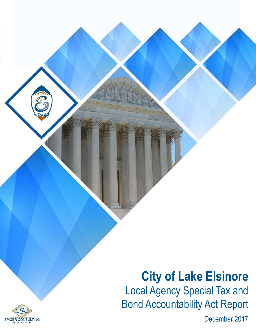# **City of Lake Elsinore Local Agency Special Tax and Bond Accountability Act Report**

December 2017

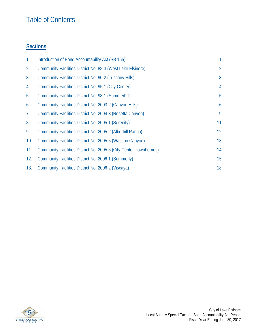### Table of Contents

### **Sections**

| $\mathbf{1}$ . | Introduction of Bond Accountability Act (SB 165)                 | 1               |
|----------------|------------------------------------------------------------------|-----------------|
| 2.             | Community Facilities District No. 88-3 (West Lake Elsinore)      | $\overline{2}$  |
| 3.             | <b>Community Facilities District No. 90-2 (Tuscany Hills)</b>    | 3               |
| 4.             | <b>Community Facilities District No. 95-1 (City Center)</b>      | $\overline{4}$  |
| 5.             | <b>Community Facilities District No. 98-1 (Summerhill)</b>       | 5               |
| 6.             | Community Facilities District No. 2003-2 (Canyon Hills)          | 6               |
| 7.             | Community Facilities District No. 2004-3 (Rosetta Canyon)        | 9               |
| 8.             | Community Facilities District No. 2005-1 (Serenity)              | 11              |
| 9.             | Community Facilities District No. 2005-2 (Alberhill Ranch)       | 12 <sup>2</sup> |
| 10.            | Community Facilities District No. 2005-5 (Wasson Canyon)         | 13              |
| 11.            | Community Facilities District No. 2005-6 (City Center Townhomes) | 14              |
| 12.            | Community Facilities District No. 2006-1 (Summerly)              | 15              |
| 13.            | Community Facilities District No. 2006-2 (Viscaya)               | 18              |

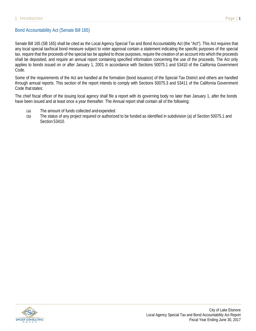#### Bond Accountability Act (Senate Bill 165)

Senate Bill 165 (SB 165) shall be cited as the Local Agency Special Tax and Bond Accountability Act (the "Act"). This Act requires that any local special tax/local bond measure subject to voter approval contain a statement indicating the specific purposes of the special tax, require that the proceeds of the special tax be applied to those purposes, require the creation of an account into which the proceeds shall be deposited, and require an annual report containing specified information concerning the use of the proceeds. The Act only applies to bonds issued on or after January 1, 2001 in accordance with Sections 50075.1 and 53410 of the California Government Code.

Some of the requirements of the Act are handled at the formation (bond issuance) of the Special Tax District and others are handled through annual reports. This section of the report intends to comply with Sections 50075.3 and 53411 of the California Government Code that states:

The chief fiscal officer of the issuing local agency shall file a report with its governing body no later than January 1, after the bonds have been issued and at least once a year thereafter. The Annual report shall contain all of the following:

- (a) The amount of funds collected and expended.
- (b) The status of any project required or authorized to be funded as identified in subdivision (a) of Section 50075.1 and Section 53410.

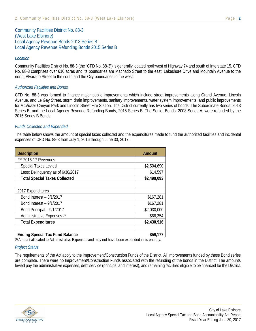Community Facilities District No. 88-3 (West Lake Elsinore) Local Agency Revenue Bonds 2013 Series B Local Agency Revenue Refunding Bonds 2015 Series B

#### *Location*

Community Facilities District No. 88-3 (the "CFD No. 88-3") is generally located northwest of Highway 74 and south of Interstate 15. CFD No. 88-3 comprises over 610 acres and its boundaries are Machado Street to the east, Lakeshore Drive and Mountain Avenue to the north, Alvarado Street to the south and the City boundaries to the west.

#### *Authorized Facilities and Bonds*

CFD No. 88-3 was formed to finance major public improvements which include street improvements along Grand Avenue, Lincoln Avenue, and Le Gay Street, storm drain improvements, sanitary improvements, water system improvements, and public improvements for McVicker Canyon Park and Lincoln Street Fire Station. The District currently has two series of bonds: The Subordinate Bonds, 2013 Series B, and the Local Agency Revenue Refunding Bonds, 2015 Series B. The Senior Bonds, 2008 Series A, were refunded by the 2015 Series B Bonds.

#### *Funds Collected and Expended*

The table below shows the amount of special taxes collected and the expenditures made to fund the authorized facilities and incidental expenses of CFD No. 88-3 from July 1, 2016 through June 30, 2017.

| <b>Description</b>                     | <b>Amount</b> |
|----------------------------------------|---------------|
| FY 2016-17 Revenues                    |               |
| <b>Special Taxes Levied</b>            | \$2,504,690   |
| Less: Delinquency as of 6/30/2017      | \$14,597      |
| <b>Total Special Taxes Collected</b>   | \$2,490,093   |
|                                        |               |
| 2017 Expenditures                      |               |
| Bond Interest - 3/1/2017               | \$167,281     |
| Bond Interest - 9/1/2017               | \$167,281     |
| Bond Principal - 9/1/2017              | \$2,030,000   |
| Administrative Expenses <sup>(1)</sup> | \$66,354      |
| <b>Total Expenditures</b>              | \$2,430,916   |
|                                        |               |
| <b>Ending Special Tax Fund Balance</b> | \$59,177      |

(1) Amount allocated to Administrative Expenses and may not have been expended in its entirety.

#### *Project Status*

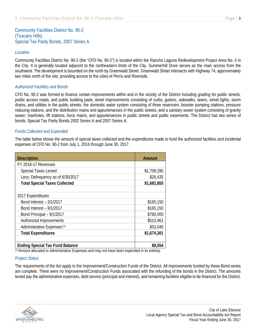#### *Location*

Community Facilities District No. 90-2 (the "CFD No. 90-2") is located within the Rancho Laguna Redevelopment Project Area No. II in the City. It is generally located adjacent to the northeastern limits of the City. Summerhill Drive serves as the main access from the southwest. The development is bounded on the north by Greenwald Street. Greenwald Street intersects with Highway 74, approximately two miles north of the site, providing access to the cities of Perris and Riverside.

#### *Authorized Facilities and Bonds*

CFD No. 90-2 was formed to finance certain improvements within and in the vicinity of the District including grading for public streets, public access roads, and public building pads; street improvements consisting of curbs, gutters, sidewalks, lawns, street lights, storm drains, and utilities in the public streets; the domestic water system consisting of three reservoirs, booster pumping stations, pressure reducing stations, and the distribution mains and appurtenances in the public streets; and a sanitary sewer system consisting of gravity sewer, manholes, lift stations, force mains, and appurtenances in public streets and public easements. The District has two series of bonds: Special Tax Parity Bonds 2002 Series A and 2007 Series A.

#### *Funds Collected and Expended*

The table below shows the amount of special taxes collected and the expenditures made to fund the authorized facilities and incidental expenses of CFD No. 90-2 from July 1, 2016 through June 30, 2017.

| <b>Description</b>                     | <b>Amount</b> |
|----------------------------------------|---------------|
| FY 2016-17 Revenues                    |               |
| <b>Special Taxes Levied</b>            | \$1,709,290   |
| Less: Delinquency as of 6/30/2017      | \$26,435      |
| <b>Total Special Taxes Collected</b>   | \$1,682,855   |
|                                        |               |
| 2017 Expenditures                      |               |
| Bond Interest - 3/1/2017               | \$165,150     |
| Bond Interest - 9/1/2017               | \$165,150     |
| Bond Principal - 9/1/2017              | \$780,000     |
| Authorized Improvements                | \$510,961     |
| Administrative Expenses <sup>(1)</sup> | \$53,040      |
| <b>Total Expenditures</b>              | \$1,674,301   |
| <b>Ending Special Tax Fund Balance</b> | \$8,554       |

(1) Amount allocated to Administrative Expenses and may not have been expended in its entirety.

#### *Project Status*

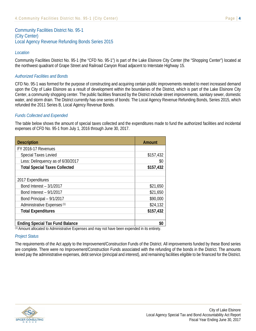Community Facilities District No. 95-1 (City Center) Local Agency Revenue Refunding Bonds Series 2015

#### *Location*

Community Facilities District No. 95-1 (the "CFD No. 95-1") is part of the Lake Elsinore City Center (the "Shopping Center") located at the northwest quadrant of Grape Street and Railroad Canyon Road adjacent to Interstate Highway 15.

#### *Authorized Facilities and Bonds*

CFD No. 95-1 was formed for the purpose of constructing and acquiring certain public improvements needed to meet increased demand upon the City of Lake Elsinore as a result of development within the boundaries of the District, which is part of the Lake Elsinore City Center, a community shopping center. The public facilities financed by the District include street improvements, sanitary sewer, domestic water, and storm drain. The District currently has one series of bonds: The Local Agency Revenue Refunding Bonds, Series 2015, which refunded the 2011 Series B, Local Agency Revenue Bonds.

#### *Funds Collected and Expended*

The table below shows the amount of special taxes collected and the expenditures made to fund the authorized facilities and incidental expenses of CFD No. 95-1 from July 1, 2016 through June 30, 2017.

| <b>Description</b>                     | <b>Amount</b> |
|----------------------------------------|---------------|
| FY 2016-17 Revenues                    |               |
| <b>Special Taxes Levied</b>            | \$157,432     |
| Less: Delinquency as of 6/30/2017      | \$0           |
| <b>Total Special Taxes Collected</b>   | \$157,432     |
|                                        |               |
| 2017 Expenditures                      |               |
| Bond Interest - 3/1/2017               | \$21,650      |
| Bond Interest - 9/1/2017               | \$21,650      |
| Bond Principal - 9/1/2017              | \$90,000      |
| Administrative Expenses <sup>(1)</sup> | \$24,132      |
| <b>Total Expenditures</b>              | \$157,432     |
|                                        |               |
| <b>Ending Special Tax Fund Balance</b> | .             |

(1) Amount allocated to Administrative Expenses and may not have been expended in its entirety.

#### *Project Status*

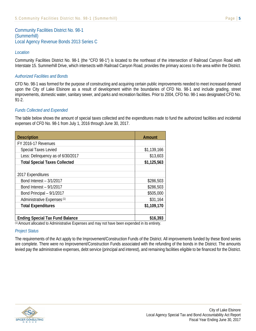Community Facilities District No. 98-1 (Summerhill) Local Agency Revenue Bonds 2013 Series C

#### *Location*

Community Facilities District No. 98-1 (the "CFD 98-1") is located to the northeast of the intersection of Railroad Canyon Road with Interstate 15. Summerhill Drive, which intersects with Railroad Canyon Road, provides the primary access to the area within the District.

#### *Authorized Facilities and Bonds*

CFD No. 98-1 was formed for the purpose of constructing and acquiring certain public improvements needed to meet increased demand upon the City of Lake Elsinore as a result of development within the boundaries of CFD No. 98-1 and include grading, street improvements, domestic water, sanitary sewer, and parks and recreation facilities. Prior to 2004, CFD No. 98-1 was designated CFD No. 91-2.

#### *Funds Collected and Expended*

The table below shows the amount of special taxes collected and the expenditures made to fund the authorized facilities and incidental expenses of CFD No. 98-1 from July 1, 2016 through June 30, 2017.

| <b>Description</b>                     | <b>Amount</b> |
|----------------------------------------|---------------|
| FY 2016-17 Revenues                    |               |
| <b>Special Taxes Levied</b>            | \$1,139,166   |
| Less: Delinquency as of 6/30/2017      | \$13,603      |
| <b>Total Special Taxes Collected</b>   | \$1,125,563   |
|                                        |               |
| 2017 Expenditures                      |               |
| Bond Interest - 3/1/2017               | \$286,503     |
| Bond Interest - 9/1/2017               | \$286,503     |
| Bond Principal - 9/1/2017              | \$505,000     |
| Administrative Expenses <sup>(1)</sup> | \$31,164      |
| <b>Total Expenditures</b>              | \$1,109,170   |
|                                        |               |
| <b>Ending Special Tax Fund Balance</b> | \$16,393      |

(1) Amount allocated to Administrative Expenses and may not have been expended in its entirety.

#### *Project Status*

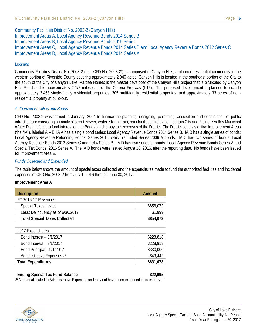Community Facilities District No. 2003-2 (Canyon Hills) Improvement Areas A, Local Agency Revenue Bonds 2014 Series B Improvement Areas B, Local Agency Revenue Bonds 2015 Series Improvement Areas C, Local Agency Revenue Bonds 2014 Series B and Local Agency Revenue Bonds 2012 Series C Improvement Areas D, Local Agency Revenue Bonds 2014 Series A

#### *Location*

Community Facilities District No. 2003-2 (the "CFD No. 2003-2") is comprised of Canyon Hills, a planned residential community in the western portion of Riverside County covering approximately 2,040 acres. Canyon Hills is located in the southeast portion of the City to the south of the City of Canyon Lake. Pardee Homes is the master developer of the Canyon Hills project that is bifurcated by Canyon Hills Road and is approximately 2-1/2 miles east of the Corona Freeway (I-15). The proposed development is planned to include approximately 3,458 single-family residential properties, 305 multi-family residential properties, and approximately 33 acres of nonresidential property at build-out.

#### *Authorized Facilities and Bonds*

CFD No. 2003-2 was formed in January, 2004 to finance the planning, designing, permitting, acquisition and construction of public infrastructure consisting primarily of street, sewer, water, storm drain, park facilities, fire station, certain City and Elsinore Valley Municipal Water District fees, to fund interest on the Bonds, and to pay the expenses of the District. The District consists of five Improvement Areas (the "IA"), labeled A – E. IA A has a single bond series: Local Agency Revenue Bonds 2014 Series B. IA B has a single series of bonds: Local Agency Revenue Refunding Bonds, Series 2015, which refunded Series 2006 A bonds. IA C has two series of bonds: Local Agency Revenue Bonds 2012 Series C and 2014 Series B. IA D has two series of bonds: Local Agency Revenue Bonds Series A and Special Tax Bonds, 2016 Series A. The IA D bonds were issued August 18, 2016, after the reporting date. No bonds have been issued for Improvement Area E.

#### *Funds Collected and Expended*

The table below shows the amount of special taxes collected and the expenditures made to fund the authorized facilities and incidental expenses of CFD No. 2003-2 from July 1, 2016 through June 30, 2017.

#### **Improvement Area A**

| <b>Description</b>                     | <b>Amount</b> |
|----------------------------------------|---------------|
| FY 2016-17 Revenues                    |               |
| <b>Special Taxes Levied</b>            | \$856,072     |
| Less: Delinquency as of 6/30/2017      | \$1,999       |
| <b>Total Special Taxes Collected</b>   | \$854,073     |
|                                        |               |
| 2017 Expenditures                      |               |
| Bond Interest - 3/1/2017               | \$228,818     |
| Bond Interest - 9/1/2017               | \$228,818     |
| Bond Principal - 9/1/2017              | \$330,000     |
| Administrative Expenses <sup>(1)</sup> | \$43,442      |
| <b>Total Expenditures</b>              | \$831,078     |
|                                        |               |
| <b>Ending Special Tax Fund Balance</b> | \$22,995<br>. |

(1) Amount allocated to Administrative Expenses and may not have been expended in its entirety.

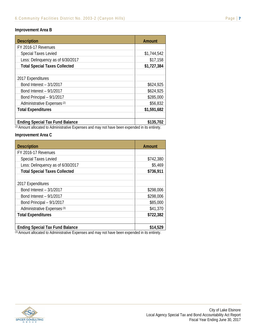#### **Improvement Area B**

| <b>Description</b>                     | <b>Amount</b>  |
|----------------------------------------|----------------|
| FY 2016-17 Revenues                    |                |
| <b>Special Taxes Levied</b>            | \$1,744,542    |
| Less: Delinquency as of 6/30/2017      | \$17,158       |
| <b>Total Special Taxes Collected</b>   | \$1,727,384    |
|                                        |                |
| 2017 Expenditures                      |                |
| Bond Interest - 3/1/2017               | \$624,925      |
| Bond Interest - 9/1/2017               | \$624,925      |
| Bond Principal - 9/1/2017              | \$285,000      |
| Administrative Expenses <sup>(2)</sup> | \$56,832       |
| <b>Total Expenditures</b>              | \$1,591,682    |
|                                        |                |
| <b>Ending Special Tax Fund Balance</b> | \$135,702<br>. |

(2) Amount allocated to Administrative Expenses and may not have been expended in its entirety.

#### **Improvement Area C**

| <b>Description</b>                     | <b>Amount</b> |
|----------------------------------------|---------------|
| FY 2016-17 Revenues                    |               |
| <b>Special Taxes Levied</b>            | \$742,380     |
| Less: Delinquency as of 6/30/2017      | \$5,469       |
| <b>Total Special Taxes Collected</b>   | \$736,911     |
|                                        |               |
| 2017 Expenditures                      |               |
| Bond Interest - 3/1/2017               | \$298,006     |
| Bond Interest - 9/1/2017               | \$298,006     |
| Bond Principal - 9/1/2017              | \$85,000      |
| Administrative Expenses <sup>(3)</sup> | \$41,370      |
| <b>Total Expenditures</b>              | \$722,382     |
|                                        |               |
| <b>Ending Special Tax Fund Balance</b> | \$14,529<br>. |

(3) Amount allocated to Administrative Expenses and may not have been expended in its entirety.

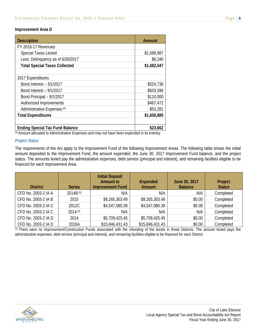#### **Improvement Area D**

| <b>Description</b>                     | Amount      |
|----------------------------------------|-------------|
| FY 2016-17 Revenues                    |             |
| <b>Special Taxes Levied</b>            | \$1,688,887 |
| Less: Delinquency as of 6/30/2017      | \$6,340     |
| <b>Total Special Taxes Collected</b>   | \$1,682,547 |
|                                        |             |
| 2017 Expenditures                      |             |
| Bond Interest - 3/1/2017               | \$524,736   |
| Bond Interest - 9/1/2017               | \$503,396   |
| Bond Principal - 9/1/2017              | \$110,000   |
| Authorized Improvements                | \$467,472   |
| Administrative Expenses <sup>(4)</sup> | \$53,281    |
| <b>Total Expenditures</b>              | \$1,658,885 |
|                                        |             |
| <b>Ending Special Tax Fund Balance</b> | \$23,662    |

(4) Amount allocated to Administrative Expenses and may not have been expended in its entirety.

#### *Project Status*

The requirements of the Act apply to the Improvement Fund of the following Improvement Areas. The following table shows the initial amount deposited to the Improvement Fund, the amount expended, the June 30, 2017 Improvement Fund balance, and the project status. The amounts levied pay the administrative expenses, debt service (principal and interest), and remaining facilities eligible to be financed for each Improvement Area.

| <b>District</b>     | <b>Series</b> | <b>Initial Deposit</b><br><b>Amount to</b><br><b>Improvement Fund</b> | <b>Expended</b><br>Amount | June 30, 2017<br><b>Balance</b> | Project<br><b>Status</b> |
|---------------------|---------------|-----------------------------------------------------------------------|---------------------------|---------------------------------|--------------------------|
| CFD No. 2003-2 IA A | 2014B(5)      | N/A                                                                   | N/A                       | N/A                             | Completed                |
| CFD No. 2003-2 IA B | 2015          | \$9,265,303.49                                                        | \$9,265,303.49            | \$0.00                          | Completed                |
| CFD No. 2003-2 IA C | 2012C         | \$4,547,080.39                                                        | \$4,547,080.39            | \$0.00                          | Completed                |
| CFD No. 2003-2 IA C | 2014(5)       | N/A                                                                   | N/A                       | N/A                             | Completed                |
| CFD No. 2003-2 IA D | 2014          | \$5,709,425.45                                                        | \$5,709,425.45            | \$0.00                          | Completed                |
| CFD No. 2003-2 IA D | 2016A         | \$15,846,431.43                                                       | \$15,846,431.43           | \$0.00                          | Completed                |

(5) There were no Improvement/Construction Funds associated with the refunding of the bonds in these Districts. The amount levied pays the administrative expenses, debt service (principal and interest), and remaining facilities eligible to be financed for each District.

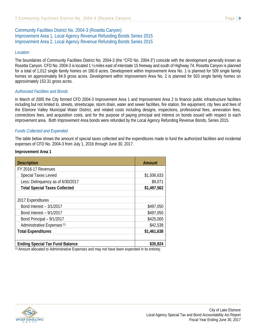### Community Facilities District No. 2004-3 (Rosetta Canyon) Improvement Area 1, Local Agency Revenue Refunding Bonds Series 2015 Improvement Area 2, Local Agency Revenue Refunding Bonds Series 2015

#### *Location*

The boundaries of Community Facilities District No. 2004-3 (the "CFD No. 2004-3") coincide with the development generally known as Rosetta Canyon. CFD No. 2004-3 is located 1 ½ miles east of interstate 15 freeway and south of Highway 74. Rosetta Canyon is planned for a total of 1,012 single family homes on 180.6 acres. Development within Improvement Area No. 1 is planned for 509 single family homes on approximately 94.9 gross acres. Development within Improvement Area No. 2 is planned for 503 single family homes on approximately 153.31 gross acres.

#### *Authorized Facilities and Bonds*

In March of 2005 the City formed CFD 2004-3 Improvement Area 1 and Improvement Area 2 to finance public infrastructure facilities including but not limited to, streets, streetscape, storm drain, water and sewer facilities, fire station, fire equipment, city fees and fees of the Elsinore Valley Municipal Water District, and related costs including designs, inspections, professional fees, annexation fees, connections fees, and acquisition costs, and for the purpose of paying principal and interest on bonds issued with respect to each improvement area. Both Improvement Area bonds were refunded by the Local Agency Refunding Revenue Bonds, Series 2015.

#### *Funds Collected and Expended*

The table below shows the amount of special taxes collected and the expenditures made to fund the authorized facilities and incidental expenses of CFD No. 2004-3 from July 1, 2016 through June 30, 2017.

#### **Improvement Area 1**

| <b>Description</b>                     | Amount        |
|----------------------------------------|---------------|
| FY 2016-17 Revenues                    |               |
| <b>Special Taxes Levied</b>            | \$1,506,633   |
| Less: Delinquency as of 6/30/2017      | \$9,071       |
| <b>Total Special Taxes Collected</b>   | \$1,497,562   |
|                                        |               |
| 2017 Expenditures                      |               |
| Bond Interest - 3/1/2017               | \$497,050     |
| Bond Interest - 9/1/2017               | \$497,050     |
| Bond Principal - 9/1/2017              | \$425,000     |
| Administrative Expenses <sup>(1)</sup> | \$42,538      |
| <b>Total Expenditures</b>              | \$1,461,638   |
|                                        |               |
| <b>Ending Special Tax Fund Balance</b> | \$35,924<br>. |

(1) Amount allocated to Administrative Expenses and may not have been expended in its entirety.

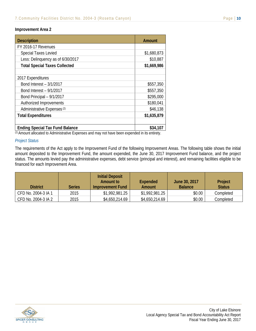#### **Improvement Area 2**

| <b>Description</b>                     | <b>Amount</b> |
|----------------------------------------|---------------|
| FY 2016-17 Revenues                    |               |
| <b>Special Taxes Levied</b>            | \$1,680,873   |
| Less: Delinquency as of 6/30/2017      | \$10,887      |
| <b>Total Special Taxes Collected</b>   | \$1,669,986   |
|                                        |               |
| 2017 Expenditures                      |               |
| Bond Interest - 3/1/2017               | \$557,350     |
| Bond Interest - 9/1/2017               | \$557,350     |
| Bond Principal - 9/1/2017              | \$295,000     |
| Authorized Improvements                | \$180,041     |
| Administrative Expenses <sup>(2)</sup> | \$46,138      |
| <b>Total Expenditures</b>              | \$1,635,879   |
|                                        |               |
| <b>Ending Special Tax Fund Balance</b> | \$34,107      |

(2) Amount allocated to Administrative Expenses and may not have been expended in its entirety.

#### *Project Status*

The requirements of the Act apply to the Improvement Fund of the following Improvement Areas. The following table shows the initial amount deposited to the Improvement Fund, the amount expended, the June 30, 2017 Improvement Fund balance, and the project status. The amounts levied pay the administrative expenses, debt service (principal and interest), and remaining facilities eligible to be financed for each Improvement Area.

| <b>District</b>     | <b>Series</b> | <b>Initial Deposit</b><br>Amount to<br>Improvement Fund | <b>Expended</b><br>Amount | June 30, 2017<br><b>Balance</b> | Project<br><b>Status</b> |
|---------------------|---------------|---------------------------------------------------------|---------------------------|---------------------------------|--------------------------|
| CFD No. 2004-3 IA 1 | 2015          | \$1,992,981.25                                          | \$1,992,981.25            | \$0.00                          | Completed                |
| CFD No. 2004-3 IA 2 | 2015          | \$4,650,214.69                                          | \$4,650,214.69            | \$0.00                          | Completed                |

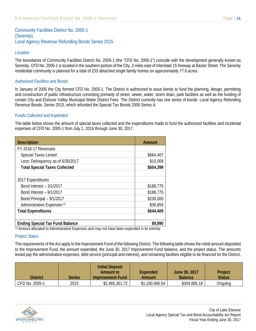Community Facilities District No. 2005-1 (Serenity) Local Agency Revenue Refunding Bonds Series 2015

#### *Location*

The boundaries of Community Facilities District No. 2005-1 (the "CFD No. 2005-1") coincide with the development generally known as Serenity. CFD No. 2005-1 is located in the southern portion of the City, 3 miles east of Interstate 15 freeway at Baxter Street. The Serenity residential community is planned for a total of 233 detached single family homes on approximately 77.6 acres.

#### *Authorized Facilities and Bonds*

In January of 2005 the City formed CFD No. 2005-1. The District is authorized to issue bonds to fund the planning, design, permitting and construction of public infrastructure consisting primarily of street, sewer, water, storm drain, park facilities as well as the funding of certain City and Elsinore Valley Municipal Water District Fees. The District currently has one series of bonds: Local Agency Refunding Revenue Bonds, Series 2015, which refunded the Special Tax Bonds 2006 Series A.

#### *Funds Collected and Expended*

The table below shows the amount of special taxes collected and the expenditures made to fund the authorized facilities and incidental expenses of CFD No. 2005-1 from July 1, 2016 through June 30, 2017.

| <b>Description</b>                     | <b>Amount</b> |
|----------------------------------------|---------------|
| FY 2016-17 Revenues                    |               |
| <b>Special Taxes Levied</b>            | \$664,407     |
| Less: Delinquency as of 6/30/2017      | \$10,008      |
| <b>Total Special Taxes Collected</b>   | \$654,399     |
|                                        |               |
| 2017 Expenditures                      |               |
| Bond Interest - 3/1/2017               | \$188,775     |
| Bond Interest - 9/1/2017               | \$188,775     |
| Bond Principal - 9/1/2017              | \$230,000     |
| Administrative Expenses <sup>(1)</sup> | \$36,859      |
| <b>Total Expenditures</b>              | \$644,409     |
|                                        |               |
| <b>Ending Special Tax Fund Balance</b> | \$9,990<br>.  |

(1) Amount allocated to Administrative Expenses and may not have been expended in its entirety.

#### *Project Status*

The requirements of the Act apply to the Improvement Fund of the following District. The following table shows the initial amount deposited to the Improvement Fund, the amount expended, the June 30, 2017 Improvement Fund balance, and the project status. The amounts levied pay the administrative expenses, debt service (principal and interest), and remaining facilities eligible to be financed for the District.

| District       | Series | <b>Initial Deposit</b><br>Amount to<br>Improvement Fund | Expended<br>Amount | June 30, 2017<br><b>Balance</b> | Project<br><b>Status</b> |
|----------------|--------|---------------------------------------------------------|--------------------|---------------------------------|--------------------------|
| CFD No. 2005-1 | 2015   | \$1,465,351.72                                          | \$1,160,466.54     | \$304,885.18                    | Ongoing                  |

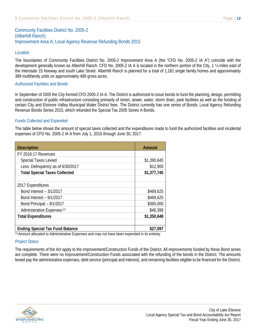Community Facilities District No. 2005-2 (Alberhill Ranch) Improvement Area A, Local Agency Revenue Refunding Bonds 2015

#### *Location*

The boundaries of Community Facilities District No. 2005-2 Improvement Area A (the "CFD No. 2005-2 IA A") coincide with the development generally known as Alberhill Ranch. CFD No. 2005-2 IA A is located in the northern portion of the City, 1 ½ miles east of the Interstate 15 freeway and south Lake Street. Alberhill Ranch is planned for a total of 1,181 single family homes and approximately 389 multifamily units on approximately 489 gross acres.

#### *Authorized Facilities and Bonds*

In September of 2005 the City formed CFD 2005-2 IA A. The District is authorized to issue bonds to fund the planning, design, permitting and construction of public infrastructure consisting primarily of street, sewer, water, storm drain, park facilities as well as the funding of certain City and Elsinore Valley Municipal Water District fees. The District currently has one series of Bonds: Local Agency Refunding Revenue Bonds Series 2015, which refunded the Special Tax 2005 Series A Bonds.

#### *Funds Collected and Expended*

The table below shows the amount of special taxes collected and the expenditures made to fund the authorized facilities and incidental expenses of CFD No. 2005-2 IA A from July 1, 2016 through June 30, 2017.

| <b>Description</b>                     | Amount      |
|----------------------------------------|-------------|
| FY 2016-17 Revenues                    |             |
| <b>Special Taxes Levied</b>            | \$1,390,645 |
| Less: Delinquency as of 6/30/2017      | \$12,900    |
| <b>Total Special Taxes Collected</b>   | \$1,377,745 |
|                                        |             |
| 2017 Expenditures                      |             |
| Bond Interest - 3/1/2017               | \$469,625   |
| Bond Interest - 9/1/2017               | \$469,625   |
| Bond Principal - 9/1/2017              | \$365,000   |
| Administrative Expenses <sup>(1)</sup> | \$46,398    |
| <b>Total Expenditures</b>              | \$1,350,648 |
|                                        |             |
| <b>Ending Special Tax Fund Balance</b> | \$27,097    |

(1) Amount allocated to Administrative Expenses and may not have been expended in its entirety.

#### *Project Status*

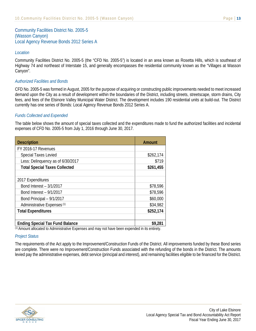Community Facilities District No. 2005-5 (Wasson Canyon) Local Agency Revenue Bonds 2012 Series A

#### *Location*

Community Facilities District No. 2005-5 (the "CFD No. 2005-5") is located in an area known as Rosetta Hills, which is southeast of Highway 74 and northeast of Interstate 15, and generally encompasses the residential community known as the "Villages at Wasson Canyon".

#### *Authorized Facilities and Bonds*

CFD No. 2005-5 was formed in August, 2005 for the purpose of acquiring or constructing public improvements needed to meet increased demand upon the City as a result of development within the boundaries of the District, including streets, streetscape, storm drains, City fees, and fees of the Elsinore Valley Municipal Water District. The development includes 190 residential units at build-out. The District currently has one series of Bonds: Local Agency Revenue Bonds 2012 Series A.

#### *Funds Collected and Expended*

The table below shows the amount of special taxes collected and the expenditures made to fund the authorized facilities and incidental expenses of CFD No. 2005-5 from July 1, 2016 through June 30, 2017.

| <b>Description</b>                     | <b>Amount</b> |
|----------------------------------------|---------------|
| FY 2016-17 Revenues                    |               |
| <b>Special Taxes Levied</b>            | \$262,174     |
| Less: Delinquency as of 6/30/2017      | \$719         |
| <b>Total Special Taxes Collected</b>   | \$261,455     |
|                                        |               |
| 2017 Expenditures                      |               |
| Bond Interest - 3/1/2017               | \$78,596      |
| Bond Interest - 9/1/2017               | \$78,596      |
| Bond Principal - 9/1/2017              | \$60,000      |
| Administrative Expenses <sup>(1)</sup> | \$34,982      |
| <b>Total Expenditures</b>              | \$252,174     |
|                                        |               |
| <b>Ending Special Tax Fund Balance</b> | \$9,281<br>.  |

(1) Amount allocated to Administrative Expenses and may not have been expended in its entirety.

#### *Project Status*

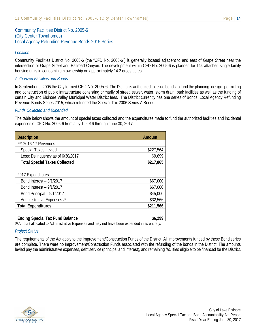Community Facilities District No. 2005-6 (City Center Townhomes) Local Agency Refunding Revenue Bonds 2015 Series

#### *Location*

Community Facilities District No. 2005-6 (the "CFD No. 2005-6") is generally located adjacent to and east of Grape Street near the intersection of Grape Street and Railroad Canyon. The development within CFD No. 2005-6 is planned for 144 attached single family housing units in condominium ownership on approximately 14.2 gross acres.

#### *Authorized Facilities and Bonds*

In September of 2005 the City formed CFD No. 2005-6. The District is authorized to issue bonds to fund the planning, design, permitting and construction of public infrastructure consisting primarily of street, sewer, water, storm drain, park facilities as well as the funding of certain City and Elsinore Valley Municipal Water District fees. The District currently has one series of Bonds: Local Agency Refunding Revenue Bonds Series 2015, which refunded the Special Tax 2006 Series A Bonds.

#### *Funds Collected and Expended*

The table below shows the amount of special taxes collected and the expenditures made to fund the authorized facilities and incidental expenses of CFD No. 2005-6 from July 1, 2016 through June 30, 2017.

| <b>Description</b>                                                                 | <b>Amount</b>                      |
|------------------------------------------------------------------------------------|------------------------------------|
| FY 2016-17 Revenues                                                                |                                    |
| <b>Special Taxes Levied</b>                                                        | \$227,564                          |
| Less: Delinquency as of 6/30/2017                                                  | \$9,699                            |
| <b>Total Special Taxes Collected</b>                                               | \$217,865                          |
|                                                                                    |                                    |
| 2017 Expenditures                                                                  |                                    |
| Bond Interest - 3/1/2017                                                           | \$67,000                           |
| Bond Interest - 9/1/2017                                                           | \$67,000                           |
| Bond Principal - 9/1/2017                                                          | \$45,000                           |
| Administrative Expenses <sup>(1)</sup>                                             | \$32,566                           |
| <b>Total Expenditures</b>                                                          | \$211,566                          |
|                                                                                    |                                    |
| <b>Ending Special Tax Fund Balance</b><br>all contacts to a finding of a change of | \$6,299<br>المنابطة المتلا المنابا |

(1) Amount allocated to Administrative Expenses and may not have been expended in its entirety.

#### *Project Status*

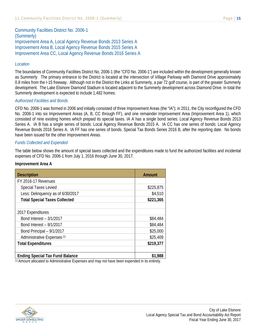Community Facilities District No. 2006-1 (Summerly) Improvement Area A, Local Agency Revenue Bonds 2013 Series A Improvement Area B, Local Agency Revenue Bonds 2015 Series A Improvement Area CC, Local Agency Revenue Bonds 2016 Series A

#### *Location*

The boundaries of Community Facilities District No. 2006-1 (the "CFD No. 2006-1") are included within the development generally known as Summerly. The primary entrance to the District is located at the intersection of Village Parkway with Diamond Drive approximately 0.8 miles from the I-15 freeway. Although not in the District the Links at Summerly, a par 72 golf course, is part of the greater Summerly development. The Lake Elsinore Diamond Stadium is located adjacent to the Summerly development across Diamond Drive. In total the Summerly development is expected to include 1,482 homes.

#### *Authorized Facilities and Bonds*

CFD No. 2006-1 was formed in 2006 and initially consisted of three Improvement Areas (the "IA"); in 2011, the City reconfigured the CFD No. 2006-1 into six Improvement Areas (A, B, CC through FF), and one remainder Improvement Area (Improvement Area 1), which consisted of nine existing homes which prepaid its special taxes. IA A has a single bond series: Local Agency Revenue Bonds 2013 Series A. IA B has a single series of bonds: Local Agency Revenue Bonds 2015 A. IA CC has one series of bonds: Local Agency Revenue Bonds 2016 Series A. IA FF has one series of bonds. Special Tax Bonds Series 2016 B, after the reporting date. No bonds have been issued for the other Improvement Areas.

#### *Funds Collected and Expended*

The table below shows the amount of special taxes collected and the expenditures made to fund the authorized facilities and incidental expenses of CFD No. 2006-1 from July 1, 2016 through June 30, 2017.

#### **Improvement Area A**

| <b>Description</b>                     | Amount    |
|----------------------------------------|-----------|
| FY 2016-17 Revenues                    |           |
| <b>Special Taxes Levied</b>            | \$225,875 |
| Less: Delinquency as of 6/30/2017      | \$4,510   |
| <b>Total Special Taxes Collected</b>   | \$221,365 |
|                                        |           |
| 2017 Expenditures                      |           |
| Bond Interest - 3/1/2017               | \$84,484  |
| Bond Interest - 9/1/2017               | \$84,484  |
| Bond Principal - 9/1/2017              | \$25,000  |
| Administrative Expenses <sup>(1)</sup> | \$25,409  |
| <b>Total Expenditures</b>              | \$219,377 |
|                                        |           |
| <b>Ending Special Tax Fund Balance</b> | \$1,988   |

(1) Amount allocated to Administrative Expenses and may not have been expended in its entirety.

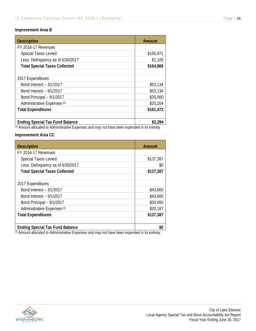#### **Improvement Area B**

| <b>Description</b>                     | <b>Amount</b> |
|----------------------------------------|---------------|
| FY 2016-17 Revenues                    |               |
| <b>Special Taxes Levied</b>            | \$165,971     |
| Less: Delinquency as of 6/30/2017      | \$1,105       |
| <b>Total Special Taxes Collected</b>   | \$164,866     |
|                                        |               |
| 2017 Expenditures                      |               |
| Bond Interest - 3/1/2017               | \$53,134      |
| Bond Interest - 9/1/2017               | \$53,134      |
| Bond Principal - 9/1/2017              | \$35,000      |
| Administrative Expenses <sup>(2)</sup> | \$20,204      |
| <b>Total Expenditures</b>              | \$161,472     |
|                                        |               |
| <b>Ending Special Tax Fund Balance</b> | \$3,394       |

(2) Amount allocated to Administrative Expenses and may not have been expended in its entirety.

#### **Improvement Area CC**

| <b>Description</b>                     | Amount    |
|----------------------------------------|-----------|
| FY 2016-17 Revenues                    |           |
| <b>Special Taxes Levied</b>            | \$137,387 |
| Less: Delinquency as of 6/30/2017      | \$0       |
| <b>Total Special Taxes Collected</b>   | \$137,387 |
|                                        |           |
| 2017 Expenditures                      |           |
| Bond Interest - 3/1/2017               | \$43,600  |
| Bond Interest - 9/1/2017               | \$43,600  |
| Bond Principal - 9/1/2017              | \$30,000  |
| Administrative Expenses <sup>(3)</sup> | \$20,187  |
| <b>Total Expenditures</b>              | \$137,387 |
|                                        |           |
| <b>Ending Special Tax Fund Balance</b> |           |

(3) Amount allocated to Administrative Expenses and may not have been expended in its entirety.

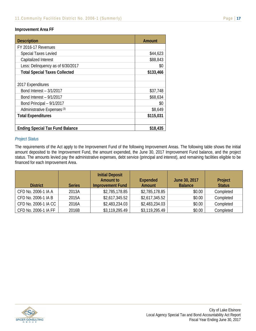#### **Improvement Area FF**

| <b>Description</b>                     | <b>Amount</b> |
|----------------------------------------|---------------|
| FY 2016-17 Revenues                    |               |
| <b>Special Taxes Levied</b>            | \$44,623      |
| Capitalized Interest                   | \$88,843      |
| Less: Delinquency as of 6/30/2017      | \$0           |
| <b>Total Special Taxes Collected</b>   | \$133,466     |
|                                        |               |
| 2017 Expenditures                      |               |
| Bond Interest - 3/1/2017               | \$37,748      |
| Bond Interest - 9/1/2017               | \$68,634      |
| Bond Principal - 9/1/2017              | \$0           |
| Administrative Expenses <sup>(3)</sup> | \$8,649       |
| <b>Total Expenditures</b>              | \$115,031     |
|                                        |               |
| <b>Ending Special Tax Fund Balance</b> | \$18,435      |

#### *Project Status*

The requirements of the Act apply to the Improvement Fund of the following Improvement Areas. The following table shows the initial amount deposited to the Improvement Fund, the amount expended, the June 30, 2017 Improvement Fund balance, and the project status. The amounts levied pay the administrative expenses, debt service (principal and interest), and remaining facilities eligible to be financed for each Improvement Area.

| <b>District</b>      | <b>Series</b> | <b>Initial Deposit</b><br><b>Amount to</b><br><b>Improvement Fund</b> | <b>Expended</b><br>Amount | June 30, 2017<br><b>Balance</b> | Project<br><b>Status</b> |
|----------------------|---------------|-----------------------------------------------------------------------|---------------------------|---------------------------------|--------------------------|
| CFD No. 2006-1 IA A  | 2013A         | \$2,785,178.85                                                        | \$2,785,178.85            | \$0.00                          | Completed                |
| CFD No. 2006-1 IA B  | 2015A         | \$2,617,345.52                                                        | \$2,617,345.52            | \$0.00                          | Completed                |
| CFD No. 2006-1 IA CC | 2016A         | \$2,483,234.03                                                        | \$2,483,234.03            | \$0.00                          | Completed                |
| CFD No. 2006-1 IA FF | 2016B         | \$3,119,295.49                                                        | \$3,119,295.49            | \$0.00                          | Completed                |

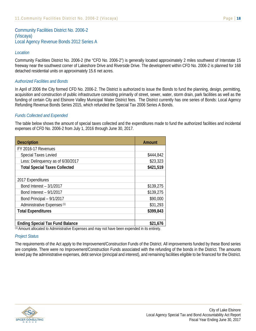Community Facilities District No. 2006-2 (Viscaya) Local Agency Revenue Bonds 2012 Series A

#### *Location*

Community Facilities District No. 2006-2 (the "CFD No. 2006-2") is generally located approximately 2 miles southwest of Interstate 15 freeway near the southwest corner of Lakeshore Drive and Riverside Drive. The development within CFD No. 2006-2 is planned for 168 detached residential units on approximately 15.6 net acres.

#### *Authorized Facilities and Bonds*

In April of 2006 the City formed CFD No. 2006-2. The District is authorized to issue the Bonds to fund the planning, design, permitting, acquisition and construction of public infrastructure consisting primarily of street, sewer, water, storm drain, park facilities as well as the funding of certain City and Elsinore Valley Municipal Water District fees. The District currently has one series of Bonds: Local Agency Refunding Revenue Bonds Series 2015, which refunded the Special Tax 2006 Series A Bonds.

#### *Funds Collected and Expended*

The table below shows the amount of special taxes collected and the expenditures made to fund the authorized facilities and incidental expenses of CFD No. 2006-2 from July 1, 2016 through June 30, 2017.

| <b>Description</b>                     | <b>Amount</b> |
|----------------------------------------|---------------|
| FY 2016-17 Revenues                    |               |
| <b>Special Taxes Levied</b>            | \$444,842     |
| Less: Delinquency as of 6/30/2017      | \$23,323      |
| <b>Total Special Taxes Collected</b>   | \$421,519     |
|                                        |               |
| 2017 Expenditures                      |               |
| Bond Interest - 3/1/2017               | \$139,275     |
| Bond Interest - 9/1/2017               | \$139,275     |
| Bond Principal - 9/1/2017              | \$90,000      |
| Administrative Expenses <sup>(1)</sup> | \$31,293      |
| <b>Total Expenditures</b>              | \$399,843     |
|                                        |               |
| <b>Ending Special Tax Fund Balance</b> | \$21,676<br>. |

(1) Amount allocated to Administrative Expenses and may not have been expended in its entirety.

#### *Project Status*